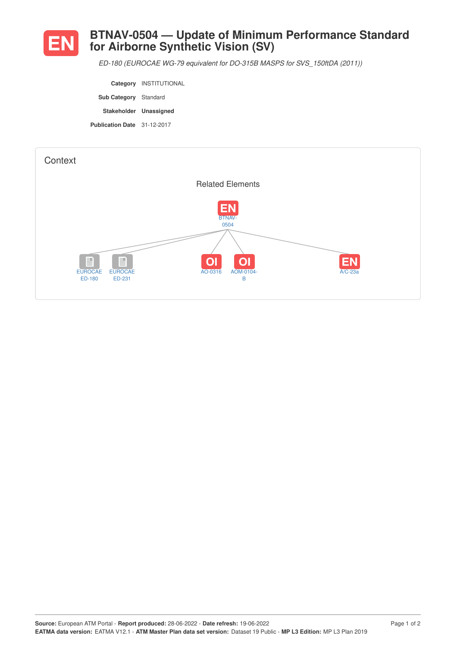

## **BTNAV-0504 — Update of Minimum Performance Standard for Airborne Synthetic Vision (SV)**

*ED-180 (EUROCAE WG-79 equivalent for DO-315B MASPS for SVS\_150ftDA (2011))*

**Category** INSTITUTIONAL **Sub Category** Standard **Stakeholder Unassigned Publication Date** 31-12-2017